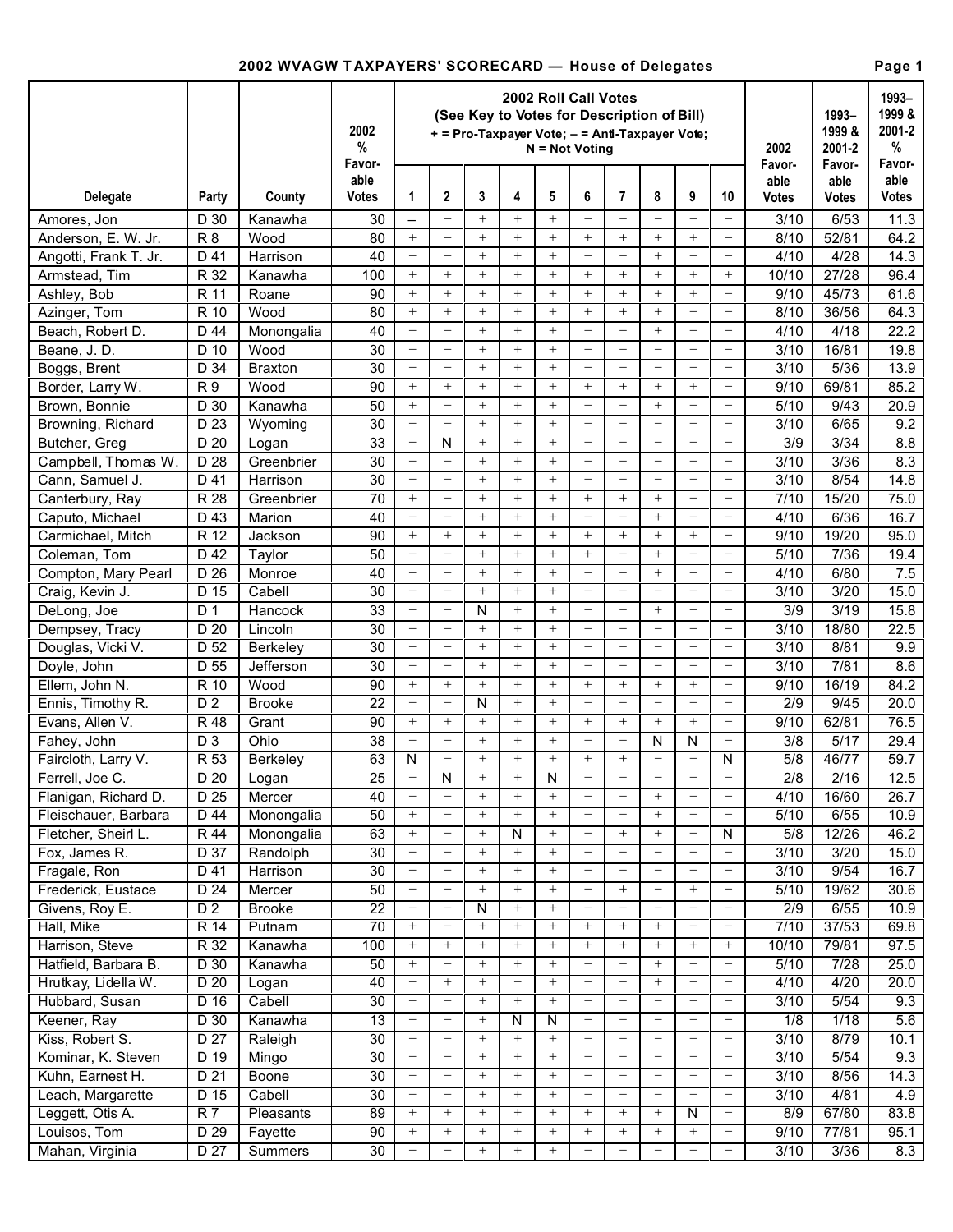## **2002 WVAGW T AXPAYERS' SCORECARD — House of Delegates Page 1**

|                       |                 |                  | 2002 Roll Call Votes<br>(See Key to Votes for Description of Bill)<br>2002<br>+ = Pro-Taxpayer Vote; - = Anti-Taxpayer Vote;<br>$\%$<br>$N = Not Not$<br>Favor- |                          |                          |        |                          |        |                          |                          |                                  |                          |                          | 2002<br>Favor-   | 1993-<br>1999 &<br>2001-2<br>Favor- | 1993-<br>1999 &<br>2001-2<br>%<br>Favor- |
|-----------------------|-----------------|------------------|-----------------------------------------------------------------------------------------------------------------------------------------------------------------|--------------------------|--------------------------|--------|--------------------------|--------|--------------------------|--------------------------|----------------------------------|--------------------------|--------------------------|------------------|-------------------------------------|------------------------------------------|
| Delegate              | Party           | County           | able<br>Votes                                                                                                                                                   | 1                        | 2                        | 3      | 4                        | 5      | 6                        | 7                        | 8                                | 9                        | 10                       | able<br>Votes    | able<br>Votes                       | able<br>Votes                            |
| Amores, Jon           | D 30            | Kanawha          | 30                                                                                                                                                              | $\overline{\phantom{0}}$ | $\equiv$                 | $+$    | $^{+}$                   | $^{+}$ |                          |                          | $\equiv$                         |                          | $\overline{\phantom{m}}$ | 3/10             | 6/53                                | 11.3                                     |
| Anderson, E. W. Jr.   | R <sub>8</sub>  | Wood             | 80                                                                                                                                                              | $+$                      | $\overline{\phantom{m}}$ | $+$    | $^{+}$                   | $^{+}$ | $+$                      | $+$                      | $+$                              | $+$                      | $\overline{\phantom{m}}$ | 8/10             | 52/81                               | 64.2                                     |
| Angotti, Frank T. Jr. | D 41            | Harrison         | 40                                                                                                                                                              | $\equiv$                 | $\overline{\phantom{m}}$ | $+$    | $^{+}$                   | $^{+}$ |                          |                          | $+$                              | $\overline{\phantom{0}}$ | $\overline{\phantom{m}}$ | 4/10             | 4/28                                | 14.3                                     |
| Armstead, Tim         | R 32            | Kanawha          | 100                                                                                                                                                             | $+$                      | $+$                      | $+$    | $^{+}$                   | $^{+}$ | $+$                      | $+$                      |                                  | $+$                      | $^{+}$                   | 10/10            | 27/28                               | 96.4                                     |
| Ashley, Bob           | R 11            | Roane            | 90                                                                                                                                                              | $+$                      | $+$                      | $+$    | $^{+}$                   | $^{+}$ | $+$                      | $+$                      |                                  | $+$                      | $\overline{\phantom{m}}$ | 9/10             | 45/73                               | 61.6                                     |
| Azinger, Tom          | R 10            | Wood             | 80                                                                                                                                                              | $+$                      | $+$                      | $+$    | $+$                      | $+$    | $+$                      | $+$                      | $+$                              | $\overline{\phantom{0}}$ | $\overline{\phantom{0}}$ | 8/10             | 36/56                               | 64.3                                     |
| Beach, Robert D.      | D 44            | Monongalia       | 40                                                                                                                                                              | $\equiv$                 | $\equiv$                 | $+$    | $+$                      | $+$    |                          | $\sim$                   | $+$                              | $\overline{\phantom{0}}$ | $\qquad \qquad -$        | 4/10             | 4/18                                | 22.2                                     |
| Beane, J. D.          | D 10            | Wood             | 30                                                                                                                                                              | $\equiv$                 | $\equiv$                 | $+$    | $+$                      | $^{+}$ | $\qquad \qquad -$        | $\overline{\phantom{0}}$ | $\overline{\phantom{0}}$         | $\overline{\phantom{0}}$ | $\qquad \qquad -$        | 3/10             | 16/81                               | 19.8                                     |
| Boggs, Brent          | D 34            | <b>Braxton</b>   | 30                                                                                                                                                              | $\equiv$                 | $\equiv$                 | $+$    | $+$                      | $^{+}$ | $\qquad \qquad -$        | $\overline{\phantom{0}}$ | $\overline{\phantom{0}}$         | $\overline{\phantom{0}}$ | $\qquad \qquad -$        | 3/10             | 5/36                                | 13.9                                     |
| Border, Larry W.      | <b>R9</b>       | Wood             | 90                                                                                                                                                              | $+$                      | $+$                      | $+$    | $+$                      | $+$    | $+$                      | $+$                      | $+$                              | $+$                      | $\qquad \qquad -$        | 9/10             | 69/81                               | 85.2                                     |
| Brown, Bonnie         | D 30            | Kanawha          | 50                                                                                                                                                              | $+$                      | $\equiv$                 | $+$    | $+$                      | $+$    |                          |                          | $+$                              | $\overline{\phantom{0}}$ | $\overline{\phantom{0}}$ | 5/10             | 9/43                                | 20.9                                     |
| Browning, Richard     | D 23            | Wyoming          | 30                                                                                                                                                              | $\equiv$                 | $\equiv$                 | $+$    | $+$                      | $+$    | $\equiv$                 | $\equiv$                 | $\overline{\phantom{0}}$         | $\overline{\phantom{0}}$ | $\overline{\phantom{0}}$ | 3/10             | 6/65                                | 9.2                                      |
| Butcher, Greg         | D 20            | Logan            | 33                                                                                                                                                              | $\equiv$                 | N                        | $+$    | $+$                      | $+$    | $\equiv$                 | $\equiv$                 | $\equiv$                         | $\overline{\phantom{0}}$ | $\overline{\phantom{0}}$ | $\overline{3/9}$ | 3/34                                | 8.8                                      |
| Campbell, Thomas W.   | D 28            | Greenbrier       | 30                                                                                                                                                              | $\frac{1}{2}$            | $\equiv$                 | $+$    | $+$                      | $+$    | $\qquad \qquad -$        | $\equiv$                 | $\equiv$                         | $\overline{\phantom{0}}$ | $\overline{\phantom{0}}$ | 3/10             | 3/36                                | 8.3                                      |
| Cann, Samuel J.       | D 41            | Harrison         | 30                                                                                                                                                              | $\equiv$                 | $\equiv$                 | $+$    | $+$                      | $+$    | $\equiv$                 | $\qquad \qquad -$        | $\qquad \qquad -$                | $\overline{\phantom{0}}$ | $\overline{\phantom{0}}$ | 3/10             | 8/54                                | 14.8                                     |
| Canterbury, Ray       | R 28            | Greenbrier       | 70                                                                                                                                                              | $+$                      | $\equiv$                 | $+$    | $+$                      | $+$    | $+$                      | $+$                      | $+$                              | $\overline{\phantom{0}}$ | $\overline{\phantom{0}}$ | 7/10             | 15/20                               | 75.0                                     |
| Caputo, Michael       | D 43            | Marion           | 40                                                                                                                                                              | $\equiv$                 | $\equiv$                 | $+$    | $+$                      | $+$    | $\equiv$                 | $\qquad \qquad -$        | $+$                              | $\equiv$                 | $\qquad \qquad -$        | 4/10             | 6/36                                | 16.7                                     |
| Carmichael, Mitch     | R 12            | Jackson          | 90                                                                                                                                                              | $+$                      | $+$                      | $+$    | $+$                      | $+$    | $+$                      | $+$                      | $+$                              | $+$                      | $\overline{\phantom{0}}$ | 9/10             | 19/20                               | 95.0                                     |
| Coleman, Tom          | D 42            | Taylor           | 50                                                                                                                                                              | $\equiv$                 | $\equiv$                 | $+$    | $+$                      | $+$    | $+$                      | $\qquad \qquad -$        | $+$                              | $\overline{\phantom{0}}$ | $\qquad \qquad -$        | 5/10             | 7/36                                | 19.4                                     |
| Compton, Mary Pearl   | D 26            | Monroe           | 40                                                                                                                                                              | $\frac{1}{2}$            | $\equiv$                 | $+$    | $+$                      | $+$    | $\qquad \qquad -$        | $\qquad \qquad -$        | $+$                              | $\equiv$                 | $\qquad \qquad -$        | 4/10             | 6/80                                | 7.5                                      |
| Craig, Kevin J.       | $D$ 15          | Cabell           | 30                                                                                                                                                              | $\equiv$                 | $\equiv$                 | $+$    | $+$                      | $^{+}$ | $\equiv$                 | $\equiv$                 | $\qquad \qquad -$                | $\overline{\phantom{0}}$ | $\overline{\phantom{m}}$ | 3/10             | 3/20                                | 15.0                                     |
| DeLong, Joe           | D <sub>1</sub>  | Hancock          | 33                                                                                                                                                              | $\equiv$                 | $\equiv$                 | N      | $+$                      | $^{+}$ | $\equiv$                 | $\equiv$                 | $+$                              | $\overline{\phantom{0}}$ | $\qquad \qquad -$        | 3/9              | 3/19                                | 15.8                                     |
| Dempsey, Tracy        | $D$ 20          | Lincoln          | 30                                                                                                                                                              | $\equiv$                 | $\overline{\phantom{0}}$ | $+$    | $+$                      | $^{+}$ | $\overline{\phantom{m}}$ | $\equiv$                 | $\qquad \qquad -$                | $\overline{\phantom{0}}$ | $\overline{\phantom{m}}$ | 3/10             | 18/80                               | 22.5                                     |
| Douglas, Vicki V.     | $D$ 52          | Berkeley         | 30                                                                                                                                                              | $\overline{\phantom{m}}$ | $\equiv$                 | $+$    | $+$                      | $^{+}$ | $\qquad \qquad -$        | $\qquad \qquad -$        | $\overline{\phantom{m}}$         | $\overline{\phantom{0}}$ | $\overline{\phantom{m}}$ | 3/10             | 8/81                                | 9.9                                      |
| Doyle, John           | $D$ 55          | Jefferson        | 30                                                                                                                                                              | $\overline{\phantom{m}}$ | $\equiv$                 | $+$    | $^{+}$                   | $^{+}$ | $\overline{\phantom{m}}$ | $\qquad \qquad -$        | $\overline{\phantom{m}}$         | $\overline{\phantom{0}}$ | $\overline{\phantom{m}}$ | 3/10             | 7/81                                | 8.6                                      |
| Ellem, John N.        | R 10            | Wood             | 90                                                                                                                                                              | $+$                      | $+$                      | $+$    | $^{+}$                   | $^{+}$ | $+$                      | $+$                      | $+$                              | $+$                      | $\overline{\phantom{m}}$ | 9/10             | 16/19                               | 84.2                                     |
| Ennis, Timothy R.     | D <sub>2</sub>  | <b>Brooke</b>    | $\overline{22}$                                                                                                                                                 | $\overline{\phantom{0}}$ | $\equiv$                 | N      | $^{+}$                   | $^{+}$ | $\equiv$                 | $\qquad \qquad -$        | $\overline{\phantom{m}}$         | $\qquad \qquad -$        | $\overline{\phantom{m}}$ | 2/9              | 9/45                                | 20.0                                     |
| Evans, Allen V.       | R 48            | Grant            | 90                                                                                                                                                              | $+$                      | $+$                      | $^{+}$ | $^{+}$                   | $^{+}$ | $+$                      | $+$                      | $\qquad \qquad +$                | $+$                      | $\overline{\phantom{m}}$ | 9/10             | 62/81                               | 76.5                                     |
| Fahey, John           | D <sub>3</sub>  | Ohio             | 38                                                                                                                                                              | $\equiv$                 | $\equiv$                 | $+$    | $^{+}$                   | $^{+}$ | $\qquad \qquad -$        | $\qquad \qquad -$        | N                                | N                        | $\overline{\phantom{m}}$ | $\overline{3/8}$ | 5/17                                | 29.4                                     |
| Faircloth, Larry V.   | R 53            | <b>Berkeley</b>  | 63                                                                                                                                                              | N                        | $\overline{\phantom{0}}$ | $^{+}$ | $^{+}$                   | $^{+}$ | $+$                      | $\! + \!\!\!\!$          | $\qquad \qquad -$                | $\overline{\phantom{0}}$ | N                        | 5/8              | 46/77                               | 59.7                                     |
| Ferrell, Joe C.       | D <sub>20</sub> | Logan            | 25                                                                                                                                                              | $\overline{\phantom{0}}$ | N                        | $+$    | $^{+}$                   | Ñ      |                          | $\qquad \qquad -$        | $\qquad \qquad -$                | -                        | $\overline{\phantom{0}}$ | 2/8              | 2/16                                | 12.5                                     |
| Flanigan, Richard D.  | D 25            | Mercer           | 40                                                                                                                                                              | $\qquad \qquad -$        | $\qquad \qquad -$        | $^{+}$ | $^{+}$                   | $+$    | $\overline{\phantom{m}}$ |                          | $+$                              | $\overline{\phantom{m}}$ | $\qquad \qquad -$        | 4/10             | 16/60                               | 26.7                                     |
| Fleischauer, Barbara  | D 44            | Monongalia       | 50                                                                                                                                                              | $+$                      | $\overline{\phantom{0}}$ | $+$    | $+$                      | $+$    | $\qquad \qquad -$        |                          | $\qquad \qquad +$                | $\overline{\phantom{m}}$ | $\overline{\phantom{m}}$ | 5/10             | 6/55                                | 10.9                                     |
| Fletcher, Sheirl L.   | <b>R44</b>      | Monongalia       | 63                                                                                                                                                              | $+$                      | $\overline{\phantom{0}}$ | $+$    | $\overline{\mathsf{N}}$  | $+$    | $\overline{\phantom{m}}$ | $+$                      | $+$                              | $\qquad \qquad -$        | N                        | 5/8              | 12/26                               | 46.2                                     |
| Fox, James R.         | D 37            | Randolph         | 30                                                                                                                                                              | $\overline{\phantom{0}}$ | $\overline{\phantom{0}}$ | $+$    | $^{+}$                   | $+$    | $\overline{\phantom{m}}$ |                          | $\overline{\phantom{m}}$         | $\overline{\phantom{m}}$ | $\overline{\phantom{m}}$ | 3/10             | 3/20                                | 15.0                                     |
| Fragale, Ron          | D 41            | Harrison         | 30                                                                                                                                                              | $\equiv$                 | $\overline{\phantom{0}}$ | $+$    | $+$                      | $+$    | $\qquad \qquad -$        | $\overline{\phantom{0}}$ | $\overline{\phantom{m}}$         | $\overline{\phantom{0}}$ | $\overline{\phantom{m}}$ | 3/10             | 9/54                                | 16.7                                     |
| Frederick, Eustace    | D <sub>24</sub> | Mercer           | 50                                                                                                                                                              | $\equiv$                 | $\equiv$                 | $+$    | $+$                      | $+$    | $\qquad \qquad -$        | $+$                      | $\overline{\phantom{m}}$         | $+$                      | $\overline{\phantom{m}}$ | 5/10             | 19/62                               | 30.6                                     |
| Givens, Roy E.        | D <sub>2</sub>  | <b>Brooke</b>    | $\overline{22}$                                                                                                                                                 | $\overline{\phantom{0}}$ | $\overline{\phantom{0}}$ | N      | $+$                      | $+$    | $\qquad \qquad -$        |                          | $\qquad \qquad -$                | $\overline{\phantom{0}}$ | $\overline{\phantom{m}}$ | 2/9              | 6/55                                | 10.9                                     |
| Hall, Mike            | R 14            | Putnam           | 70                                                                                                                                                              | $+$                      | $\overline{\phantom{0}}$ | $+$    | $+$                      | $+$    | $+$                      | $+$                      | $\qquad \qquad +$                | $\overline{\phantom{m}}$ | $\overline{\phantom{m}}$ | 7/10             | 37/53                               | 69.8                                     |
| Harrison, Steve       | R 32            | Kanawha          | 100                                                                                                                                                             | $+$                      | $+$                      | $+$    | $+$                      | $+$    | $+$                      | $+$                      | $\qquad \qquad +$                | $^{+}$                   | $+$                      | 10/10            | 79/81                               | 97.5                                     |
| Hatfield, Barbara B.  | $D_30$          | Kanawha          | 50                                                                                                                                                              | $+$                      | $\overline{\phantom{0}}$ | $+$    | $+$                      | $+$    |                          | $\qquad \qquad -$        | $\qquad \qquad +$                | $\qquad \qquad -$        | $\overline{\phantom{m}}$ | 5/10             | 7/28                                | 25.0                                     |
| Hrutkay, Lidella W.   | D <sub>20</sub> | Logan            | 40                                                                                                                                                              | $\equiv$                 | $+$                      | $+$    | $\overline{\phantom{0}}$ | $+$    | $\qquad \qquad -$        | $\overline{\phantom{0}}$ | $\qquad \qquad +$                | $\qquad \qquad -$        | $\overline{\phantom{m}}$ | 4/10             | 4/20                                | 20.0                                     |
| Hubbard, Susan        | D 16            | Cabell           | 30                                                                                                                                                              | $\equiv$                 | $\overline{\phantom{0}}$ | $+$    | $+$                      | $+$    | $\qquad \qquad -$        | $\overline{\phantom{0}}$ | $\overline{\phantom{m}}$         | $\overline{\phantom{0}}$ | $\overline{\phantom{m}}$ | 3/10             | 5/54                                | 9.3                                      |
| Keener, Ray           | $D_30$          | Kanawha          | 13                                                                                                                                                              | $\equiv$                 | $\overline{\phantom{0}}$ | $+$    | $\overline{\mathsf{N}}$  | N      | $\overline{\phantom{m}}$ | $\overline{\phantom{0}}$ | $\overline{\phantom{m}}$         | $\overline{\phantom{0}}$ | $\overline{\phantom{m}}$ | 1/8              | 1/18                                | 5.6                                      |
| Kiss, Robert S.       | D <sub>27</sub> | Raleigh          | 30                                                                                                                                                              | $\overline{\phantom{m}}$ | $\overline{\phantom{0}}$ | $+$    | $+$                      | $+$    | $\qquad \qquad -$        | $\overline{\phantom{0}}$ | $\overline{\phantom{m}}$         | $\overline{\phantom{0}}$ | $\overline{\phantom{m}}$ | 3/10             | 8/79                                | 10.1                                     |
| Kominar, K. Steven    | $D$ 19          | Mingo            | 30                                                                                                                                                              | $\overline{\phantom{a}}$ | $\overline{\phantom{0}}$ | $+$    | $^{+}$                   | $+$    | $\overline{\phantom{m}}$ |                          | $\overline{\phantom{m}}$         |                          | $\overline{\phantom{m}}$ | 3/10             | 5/54                                | 9.3                                      |
| Kuhn, Earnest H.      | D 21            | Boone            | 30                                                                                                                                                              | $\overline{\phantom{a}}$ | $\overline{\phantom{0}}$ | $+$    | $^{+}$                   | $^{+}$ | $\overline{\phantom{m}}$ |                          | $\overline{\phantom{m}}$         | $\overline{\phantom{0}}$ | $\overline{\phantom{m}}$ | 3/10             | 8/56                                | 14.3                                     |
| Leach, Margarette     | D 15            | Cabell           | 30                                                                                                                                                              | $\overline{\phantom{a}}$ | $\overline{\phantom{0}}$ | $^{+}$ | $^{+}$                   | $^{+}$ | $\overline{\phantom{m}}$ |                          | $\overline{\phantom{m}}$         | $\overline{\phantom{0}}$ | $\overline{\phantom{m}}$ | 3/10             | 4/81                                | 4.9                                      |
| Leggett, Otis A.      | $\overline{R}$  | <b>Pleasants</b> | 89                                                                                                                                                              | $+$                      | $+$                      | $^{+}$ | $^{+}$                   | $^{+}$ | $\qquad \qquad +$        | $^{+}$                   | $\begin{array}{c} + \end{array}$ | N                        | $\overline{\phantom{m}}$ | 8/9              | 67/80                               | 83.8                                     |
| Louisos, Tom          | D 29            | Fayette          | 90                                                                                                                                                              | $^{+}$                   | $+$                      | $^{+}$ | $^{+}$                   | $^{+}$ | $\qquad \qquad +$        | $^{+}$                   | $\begin{array}{c} + \end{array}$ | $^{+}$                   | $\overline{\phantom{m}}$ | 9/10             | 77/81                               | 95.1                                     |
| Mahan, Virginia       | D 27            | Summers          | 30 <sup>°</sup>                                                                                                                                                 | $\overline{\phantom{0}}$ | $\qquad \qquad -$        | $+$    | $^{+}$                   | $+$    | $\overline{\phantom{m}}$ | $\overline{\phantom{m}}$ | $\qquad \qquad -$                | $\qquad \qquad -$        | $\overline{\phantom{m}}$ | 3/10             | 3/36                                | 8.3                                      |